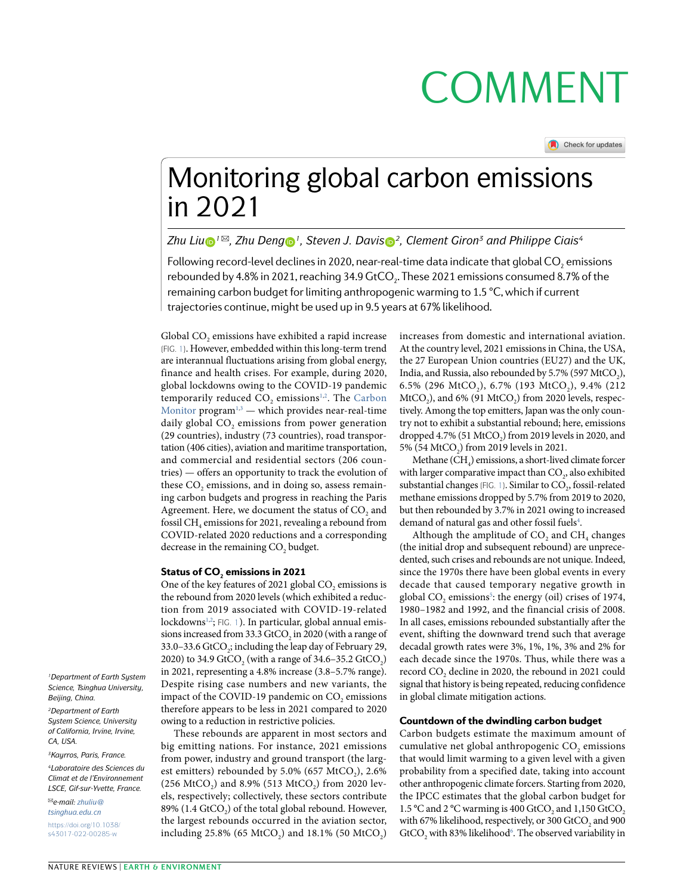# **COMMENT**

Check for updates

## Monitoring global carbon emissions in 2021

*Zh[u](http://orcid.org/0000-0002-8968-7050) Liu*<sup>o</sup><sup>1⊠</sup>, *Zhu Deng*<sup>o</sup><sup>1</sup>, Steven J. Davis<sup>o</sup><sup>2</sup>, Clement Giron<sup>3</sup> and Philippe Ciais<sup>4</sup>

Following record-level declines in 2020, near-real-time data indicate that global CO<sub>2</sub> emissions rebounded by 4.8% in 2021, reaching 34.9 GtCO<sub>2</sub>. These 2021 emissions consumed 8.7% of the remaining carbon budget for limiting anthropogenic warming to 1.5 °C, which if current trajectories continue, might be used up in 9.5 years at 67% likelihood.

Global CO<sub>2</sub> emissions have exhibited a rapid increase (Fig. [1](#page-1-0)). However, embedded within this long-term trend are interannual fluctuations arising from global energy, finance and health crises. For example, during 2020, global lockdowns owing to the COVID-19 pandemic temporarily reduced  $CO_2$  $CO_2$  emissions<sup>[1](#page-2-0),2</sup>. The [Carbon](https://carbonmonitor.org/) [Monitor](https://carbonmonitor.org/) program<sup>1[,3](#page-2-2)</sup> — which provides near-real-time daily global CO<sub>2</sub> emissions from power generation (29 countries), industry (73 countries), road transportation (406 cities), aviation and maritime transportation, and commercial and residential sectors (206 countries) — offers an opportunity to track the evolution of these CO<sub>2</sub> emissions, and in doing so, assess remaining carbon budgets and progress in reaching the Paris Agreement. Here, we document the status of CO<sub>2</sub> and fossil CH<sub>4</sub> emissions for 2021, revealing a rebound from COVID-related 2020 reductions and a corresponding decrease in the remaining CO<sub>2</sub> budget.

### Status of CO<sub>2</sub> emissions in 2021

One of the key features of 2021 global CO<sub>2</sub> emissions is the rebound from 2020 levels (which exhibited a reduction from 2019 associated with COVID-19-related lockdowns[1](#page-1-0),[2](#page-2-1); FIG. 1). In particular, global annual emissions increased from 33.3 GtCO<sub>2</sub> in 2020 (with a range of 33.0-33.6 GtCO<sub>2</sub>; including the leap day of February 29, 2020) to 34.9 GtCO<sub>2</sub> (with a range of 34.6-35.2 GtCO<sub>2</sub>) in 2021, representing a 4.8% increase (3.8–5.7% range). Despite rising case numbers and new variants, the impact of the COVID-19 pandemic on CO<sub>2</sub> emissions therefore appears to be less in 2021 compared to 2020 owing to a reduction in restrictive policies.

These rebounds are apparent in most sectors and big emitting nations. For instance, 2021 emissions from power, industry and ground transport (the largest emitters) rebounded by  $5.0\%$  (657 MtCO<sub>2</sub>),  $2.6\%$ (256 MtCO<sub>2</sub>) and 8.9% (513 MtCO<sub>2</sub>) from 2020 levels, respectively; collectively, these sectors contribute 89% (1.4 GtCO<sub>2</sub>) of the total global rebound. However, the largest rebounds occurred in the aviation sector, including  $25.8\%$  (65 MtCO<sub>2</sub>) and  $18.1\%$  (50 MtCO<sub>2</sub>)

increases from domestic and international aviation. At the country level, 2021 emissions in China, the USA, the 27 European Union countries (EU27) and the UK, India, and Russia, also rebounded by  $5.7\%$  (597 MtCO<sub>2</sub>), 6.5% (296 MtCO<sub>2</sub>), 6.7% (193 MtCO<sub>2</sub>), 9.4% (212  $MtCO<sub>2</sub>$ ), and 6% (91 MtCO<sub>2</sub>) from 2020 levels, respectively. Among the top emitters, Japan was the only country not to exhibit a substantial rebound; here, emissions dropped  $4.7\%$  (51 MtCO<sub>2</sub>) from 2019 levels in 2020, and 5% (54 MtCO<sub>2</sub>) from 2019 levels in 2021.

Methane  $(CH<sub>4</sub>)$  emissions, a short-lived climate forcer with larger comparative impact than CO<sub>2</sub>, also exhibited substantial changes (FIG. [1\)](#page-1-0). Similar to  $CO<sub>2</sub>$ , fossil-related methane emissions dropped by 5.7% from 2019 to 2020, but then rebounded by 3.7% in 2021 owing to increased demand of natural gas and other fossil fuels<sup>4</sup>.

Although the amplitude of  $CO$ , and  $CH<sub>4</sub>$  changes (the initial drop and subsequent rebound) are unprecedented, such crises and rebounds are not unique. Indeed, since the 1970s there have been global events in every decade that caused temporary negative growth in global  $CO<sub>2</sub>$  emissions<sup>[5](#page-2-4)</sup>: the energy (oil) crises of 1974, 1980–1982 and 1992, and the financial crisis of 2008. In all cases, emissions rebounded substantially after the event, shifting the downward trend such that average decadal growth rates were 3%, 1%, 1%, 3% and 2% for each decade since the 1970s. Thus, while there was a record CO<sub>2</sub> decline in 2020, the rebound in 2021 could signal that history is being repeated, reducing confidence in global climate mitigation actions.

### Countdown of the dwindling carbon budget

Carbon budgets estimate the maximum amount of cumulative net global anthropogenic  $CO<sub>2</sub>$  emissions that would limit warming to a given level with a given probability from a specified date, taking into account other anthropogenic climate forcers. Starting from 2020, the IPCC estimates that the global carbon budget for 1.5 °C and 2 °C warming is 400 GtCO<sub>2</sub> and 1,150 GtCO<sub>2</sub> with 67% likelihood, respectively, or 300 GtCO<sub>2</sub> and 900 GtCO<sub>2</sub> with 83% likelihood<sup>6</sup>. The observed variability in

*1Department of Earth System Science, Tsinghua University, Beijing, China.*

*2Department of Earth System Science, University of California, Irvine, Irvine, CA, USA.*

*3Kayrros, Paris, France.*

*4Laboratoire des Sciences du Climat et de l'Environnement LSCE, Gif-sur-Yvette, France.*

✉*e-mail: [zhuliu@](mailto:zhuliu@
tsinghua.edu.cn) [tsinghua.edu.cn](mailto:zhuliu@
tsinghua.edu.cn)* [https://doi.org/10.1038/](https://doi.org/10.1038/s43017-022-00285-w) [s43017-022-00285-w](https://doi.org/10.1038/s43017-022-00285-w)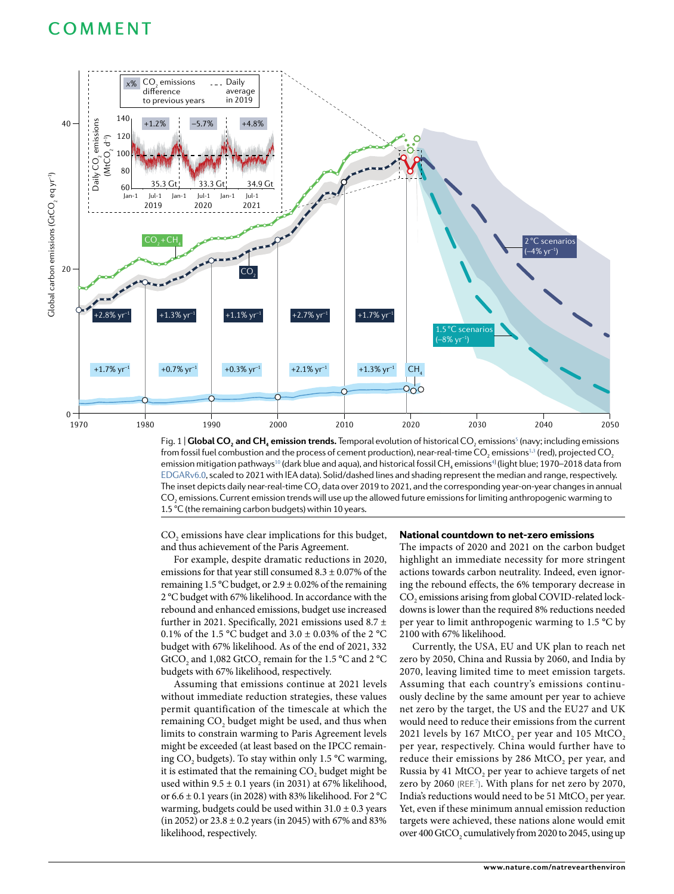### COMMENT



<span id="page-1-0"></span>Fig. 1 | **Global CO<sub>2</sub> and CH<sub>4</sub> emission trends.** Temporal evolution of historical CO<sub>2</sub> emissions<sup>s</sup> (navy; including emissions from fossil fuel combustion and the process of cement production), near-real-time CO $_2$  emissions $^{\rm 1.3}$  $^{\rm 1.3}$  $^{\rm 1.3}$  (red), projected CO $_2$ emission mitigation pathways $^{\rm 10}$  (dark blue and aqua), and historical fossil CH $_{\rm 4}$  $_{\rm 4}$  $_{\rm 4}$  emissions $^{\rm 4}$  (light blue; 1970–2018 data from [EDGARv6.0,](https://data.jrc.ec.europa.eu/dataset/97a67d67-c62e-4826-b873-9d972c4f670b) scaled to 2021 with IEA data). Solid/dashed lines and shading represent the median and range, respectively. The inset depicts daily near-real-time CO<sub>2</sub> data over 2019 to 2021, and the corresponding year-on-year changes in annual CO<sub>2</sub> emissions. Current emission trends will use up the allowed future emissions for limiting anthropogenic warming to 1.5 °C (the remaining carbon budgets) within 10 years.

CO<sub>2</sub> emissions have clear implications for this budget, and thus achievement of the Paris Agreement.

For example, despite dramatic reductions in 2020, emissions for that year still consumed  $8.3 \pm 0.07\%$  of the remaining  $1.5 \text{ }^{\circ}\text{C}$  budget, or  $2.9 \pm 0.02\%$  of the remaining 2 °C budget with 67% likelihood. In accordance with the rebound and enhanced emissions, budget use increased further in 2021. Specifically, 2021 emissions used 8.7  $\pm$ 0.1% of the 1.5 °C budget and 3.0  $\pm$  0.03% of the 2 °C budget with 67% likelihood. As of the end of 2021, 332 GtCO<sub>2</sub> and 1,082 GtCO<sub>2</sub> remain for the 1.5 °C and 2 °C budgets with 67% likelihood, respectively.

Assuming that emissions continue at 2021 levels without immediate reduction strategies, these values permit quantification of the timescale at which the remaining  $CO<sub>2</sub>$  budget might be used, and thus when limits to constrain warming to Paris Agreement levels might be exceeded (at least based on the IPCC remaining CO<sub>2</sub> budgets). To stay within only 1.5 °C warming, it is estimated that the remaining CO<sub>2</sub> budget might be used within 9.5  $\pm$  0.1 years (in 2031) at 67% likelihood, or  $6.6 \pm 0.1$  years (in 2028) with 83% likelihood. For 2 °C warming, budgets could be used within  $31.0 \pm 0.3$  years  $(in 2052)$  or  $23.8 \pm 0.2$  years  $(in 2045)$  with 67% and 83% likelihood, respectively.

### National countdown to net-zero emissions

The impacts of 2020 and 2021 on the carbon budget highlight an immediate necessity for more stringent actions towards carbon neutrality. Indeed, even ignoring the rebound effects, the 6% temporary decrease in CO<sub>2</sub> emissions arising from global COVID-related lockdowns is lower than the required 8% reductions needed per year to limit anthropogenic warming to 1.5 °C by 2100 with 67% likelihood.

Currently, the USA, EU and UK plan to reach net zero by 2050, China and Russia by 2060, and India by 2070, leaving limited time to meet emission targets. Assuming that each country's emissions continuously decline by the same amount per year to achieve net zero by the target, the US and the EU27 and UK would need to reduce their emissions from the current 2021 levels by 167 MtCO<sub>2</sub> per year and 105 MtCO<sub>2</sub> per year, respectively. China would further have to reduce their emissions by 286 MtCO<sub>2</sub> per year, and Russia by 41 MtCO<sub>2</sub> per year to achieve targets of net zero by 2060 (REF.<sup>[7](#page-2-6)</sup>). With plans for net zero by 2070, India's reductions would need to be 51 MtCO<sub>2</sub> per year. Yet, even if these minimum annual emission reduction targets were achieved, these nations alone would emit over 400 GtCO<sub>2</sub> cumulatively from 2020 to 2045, using up